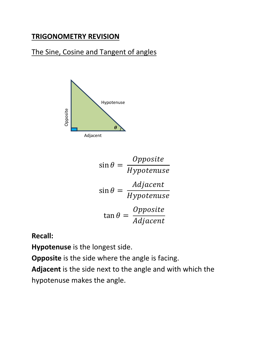## **TRIGONOMETRY REVISION**

## The Sine, Cosine and Tangent of angles



$$
\sin \theta = \frac{Opposite}{Hypotenuse}
$$

$$
\sin \theta = \frac{Adjacent}{Hypotenuse}
$$

$$
\tan \theta = \frac{Opposite}{Adjacent}
$$

**Recall:** 

**Hypotenuse** is the longest side.

**Opposite** is the side where the angle is facing.

**Adjacent** is the side next to the angle and with which the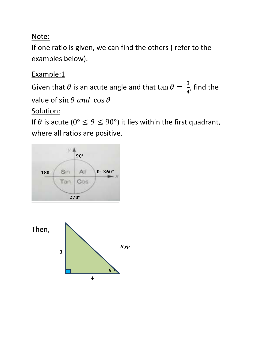## Note:

If one ratio is given, we can find the others ( refer to the examples below).

Example:1

Given that  $\theta$  is an acute angle and that  $\tan\theta = \frac{3}{4}$ , find the

value of  $\sin \theta$  and  $\cos \theta$ 

Solution:

If  $\theta$  is acute (0°  $\leq \theta \leq 90$ °) it lies within the first quadrant, where all ratios are positive.



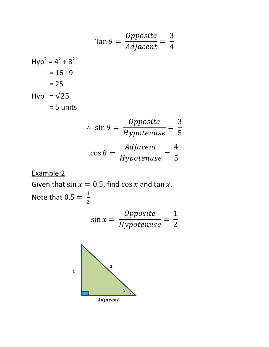$$
\tan \theta = \frac{Opposite}{Adjacent} = \frac{3}{4}
$$
  
Hyp<sup>2</sup> = 4<sup>2</sup> + 3<sup>2</sup>  
= 16 +9  
= 25  
Hyp =  $\sqrt{25}$   
= 5 units

$$
\therefore \sin \theta = \frac{Opposite}{Hypotenuse} = \frac{3}{5}
$$

$$
\cos \theta = \frac{Adjacent}{Hypotenuse} = \frac{4}{5}
$$

Example:2

Given that  $\sin x = 0.5$ , find  $\cos x$  and  $\tan x$ . Note that  $0.5 = \frac{1}{2}$ 

$$
\sin x = \frac{Opposite}{Hypotenuse} = \frac{1}{2}
$$

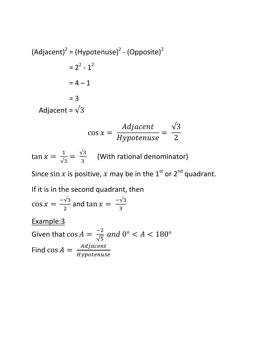$$
(Adjacent)2 = (Hypotenuse)2 - (Opposite)2
$$

$$
= 22 - 12
$$

$$
= 4 - 1
$$

$$
= 3
$$

$$
Adjacent = \sqrt{3}
$$

$$
\cos x = \frac{Adjacent}{Hypotenuse} = \frac{\sqrt{3}}{2}
$$

 $\tan x = \frac{1}{\sqrt{3}} = \frac{\sqrt{3}}{3}$  $\frac{75}{3}$  (With rational denominator)

Since sin x is positive, x may be in the 1<sup>st</sup> or 2<sup>nd</sup> quadrant.

If it is in the second quadrant, then

$$
\cos x = \frac{-\sqrt{3}}{2}
$$
 and  $\tan x = \frac{-\sqrt{3}}{3}$ 

Example:3

Given that  $\cos A = \frac{-2}{\sqrt{2}}$  $\sqrt{5}$ and  $0^{\circ} < A < 180^{\circ}$ Find  $\cos A = \frac{Adjacent}{Hypotenuse}$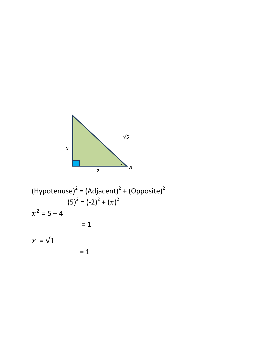

(Hypotenuse)<sup>2</sup> = (Adjacent)<sup>2</sup> + (Opposite)<sup>2</sup>  
\n
$$
(5)^{2} = (-2)^{2} + (x)^{2}
$$
\n
$$
x^{2} = 5 - 4
$$
\n
$$
= 1
$$
\n
$$
x = \sqrt{1}
$$
\n
$$
= 1
$$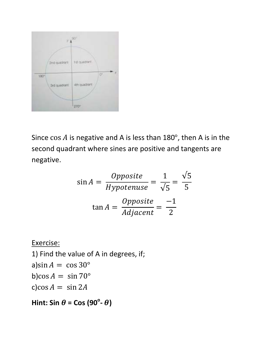

Since cos  $A$  is negative and A is less than 180°, then A is in the second quadrant where sines are positive and tangents are negative.

$$
\sin A = \frac{Opposite}{Hypotenuse} = \frac{1}{\sqrt{5}} = \frac{\sqrt{5}}{5}
$$

$$
\tan A = \frac{Opposite}{Adjacent} = \frac{-1}{2}
$$

Exercise:

1) Find the value of A in degrees, if; a)sin  $A = \cos 30^\circ$ b)cos  $A = \sin 70^\circ$ c)cos  $A = \sin 2A$ 

 $\mathsf{Hint:}$  Sin  $\theta$  = Cos (90<sup>°</sup>-  $\theta$ )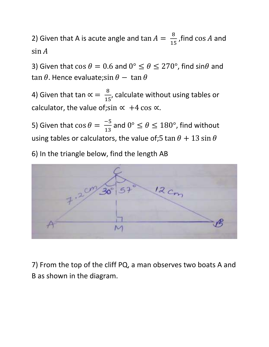2) Given that A is acute angle and  $\tan A = \frac{8}{15}$ , find  $\cos A$  and  $\sin A$ 

3) Given that  $\cos \theta = 0.6$  and  $0^{\circ} \le \theta \le 270^{\circ}$ , find  $\sin \theta$  and tan  $\theta$ . Hence evaluate;sin  $\theta$  – tan  $\theta$ 

4) Given that tan  $\propto$  =  $\frac{8}{15}$  $\frac{8}{15}$ , calculate without using tables or calculator, the value of;sin  $\propto$  +4 cos  $\propto$ .

5) Given that  $\cos \theta = \frac{-5}{13}$  and  $0^{\circ} \le \theta \le 180^{\circ}$ , find without using tables or calculators, the value of;5 tan  $\theta$  + 13 sin  $\theta$ 

6) In the triangle below, find the length AB



7) From the top of the cliff PQ, a man observes two boats A and B as shown in the diagram.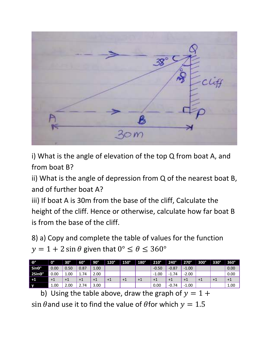

i) What is the angle of elevation of the top Q from boat A, and from boat B?

ii) What is the angle of depression from Q of the nearest boat B, and of further boat A?

iii) If boat A is 30m from the base of the cliff, Calculate the height of the cliff. Hence or otherwise, calculate how far boat B is from the base of the cliff.

8) a) Copy and complete the table of values for the function  $y = 1 + 2 \sin \theta$  given that  $0^{\circ} \le \theta \le 360^{\circ}$ 

| ι θ,                     | $\mathbf{0}^{\circ}$ | $30^\circ$ | $60^\circ$ | $90^\circ$ | $120^\circ$ | $150^\circ$ | $180^\circ$ | $210^\circ$ | $240^\circ$ | $270^\circ$ | $300^\circ$ | $330^\circ$ | $360^\circ$ |
|--------------------------|----------------------|------------|------------|------------|-------------|-------------|-------------|-------------|-------------|-------------|-------------|-------------|-------------|
| $Sin\Theta$ <sup>°</sup> | 0.00                 | 0.50       | 0.87       | 1.00       |             |             |             | $-0.50$     | $-0.87$     | $-1.00$     |             |             | 0.00        |
| 2Sin <sub>e</sub> °      | 0.00                 | 1.00       | 1.74       | 2.00       |             |             |             | $-1.00$     | $-1.74$     | $-2.00$     |             |             | 0.00        |
| $+1$                     | $+1$                 | $+1$       | $+1$       | $+1$       | $+1$        | $+1$        | $+1$        | $+1$        | $+1$        | $+1$        | $+1$        | $+1$        | $+1$        |
|                          | 1.00                 | 2.00       | 2.74       | 3.00       |             |             |             | 0.00        | $-0.74$     | $-1.00$     |             |             | 1.00        |

b) Using the table above, draw the graph of  $y = 1 +$ sin  $\theta$  and use it to find the value of  $\theta$  for which  $y = 1.5$